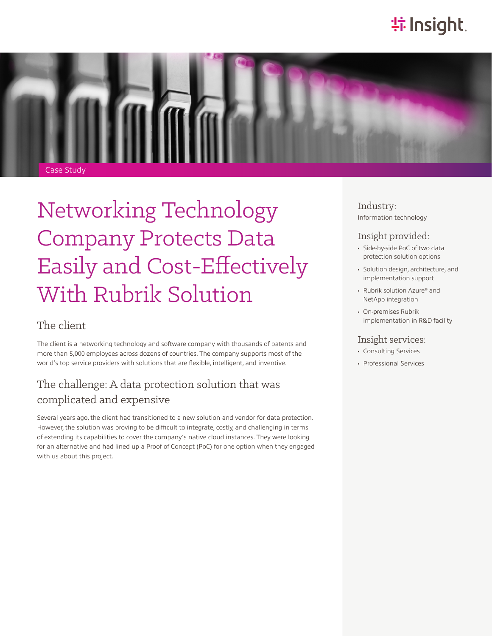# **特Insight**.



# Networking Technology Company Protects Data Easily and Cost-Effectively With Rubrik Solution

#### The client

The client is a networking technology and software company with thousands of patents and more than 5,000 employees across dozens of countries. The company supports most of the world's top service providers with solutions that are flexible, intelligent, and inventive.

### The challenge: A data protection solution that was complicated and expensive

Several years ago, the client had transitioned to a new solution and vendor for data protection. However, the solution was proving to be difficult to integrate, costly, and challenging in terms of extending its capabilities to cover the company's native cloud instances. They were looking for an alternative and had lined up a Proof of Concept (PoC) for one option when they engaged with us about this project.

Industry: Information technology

#### Insight provided:

- Side-by-side PoC of two data protection solution options
- Solution design, architecture, and implementation support
- Rubrik solution Azure® and NetApp integration
- On-premises Rubrik implementation in R&D facility

#### Insight services:

- Consulting Services
- Professional Services